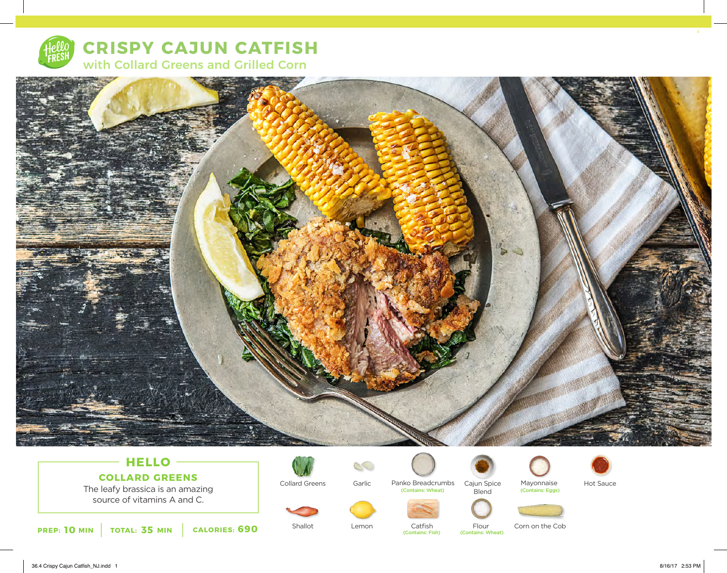

**CRISPY CAJUN CATFISH** with Collard Greens and Grilled Corn



# **HELLO COLLARD GREENS**

The leafy brassica is an amazing source of vitamins A and C.





Collard Greens



Garlic Panko Breadcrumbs Cajun Spice Mayonnaise Cajun Spice Blend (Contains: Wheat) (Contains: Eggs)





Hot Sauce



Shallot **Lemon** Catfish Flour Catfish Flour Corn on the Cob<br>
(Contains: Fish) (Contains: Wheat)

(Contains: Wheat)

36.4 Crispy Cajun Catfish\_NJ.indd 1 8/16/17 2:53 PM